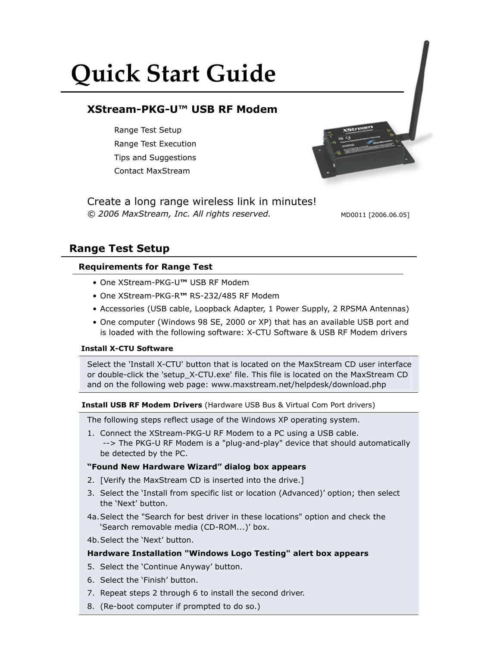# **Quick Start Guide**

# **XStream-PKG-U™ USB RF Modem**

Range Test Setup Range Test Execution Tips and Suggestions Contact MaxStream

*© 2006 MaxStream, Inc. All rights reserved.* Create a long range wireless link in minutes!

MD0011 [2006.06.05]

# **Range Test Setup**

# **Requirements for Range Test**

- One XStream-PKG-U**™** USB RF Modem
- One XStream-PKG-R**™** RS-232/485 RF Modem
- Accessories (USB cable, Loopback Adapter, 1 Power Supply, 2 RPSMA Antennas)
- One computer (Windows 98 SE, 2000 or XP) that has an available USB port and is loaded with the following software: X-CTU Software & USB RF Modem drivers

# **Install X-CTU Software**

Select the 'Install X-CTU' button that is located on the MaxStream CD user interface or double-click the 'setup\_X-CTU.exe' file. This file is located on the MaxStream CD and on the following web page: www.maxstream.net/helpdesk/download.php

#### **Install USB RF Modem Drivers** (Hardware USB Bus & Virtual Com Port drivers)

The following steps reflect usage of the Windows XP operating system.

1. Connect the XStream-PKG-U RF Modem to a PC using a USB cable. --> The PKG-U RF Modem is a "plug-and-play" device that should automatically be detected by the PC.

# **"Found New Hardware Wizard" dialog box appears**

- 2. [Verify the MaxStream CD is inserted into the drive.]
- 3. Select the 'Install from specific list or location (Advanced)' option; then select the 'Next' button.
- 4a.Select the "Search for best driver in these locations" option and check the 'Search removable media (CD-ROM...)' box.
- 4b.Select the 'Next' button.

# **Hardware Installation "Windows Logo Testing" alert box appears**

- 5. Select the 'Continue Anyway' button.
- 6. Select the 'Finish' button.
- 7. Repeat steps 2 through 6 to install the second driver.
- 8. (Re-boot computer if prompted to do so.)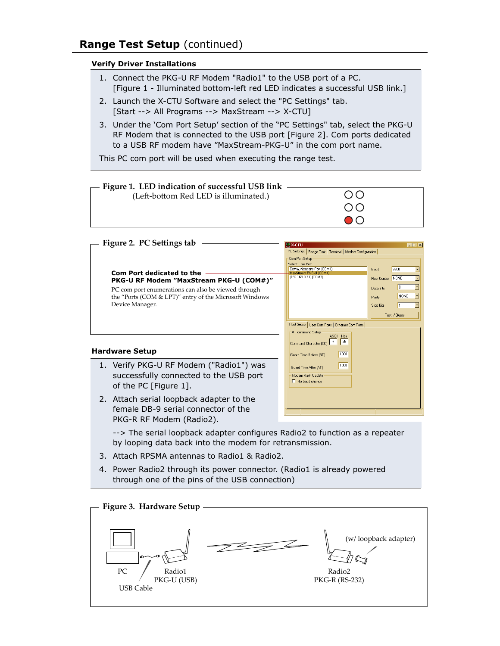# **Range Test Setup** (continued)

#### **Verify Driver Installations**

- 1. Connect the PKG-U RF Modem "Radio1" to the USB port of a PC. [Figure 1 - Illuminated bottom-left red LED indicates a successful USB link.]
- 2. Launch the X-CTU Software and select the "PC Settings" tab.
- [Start --> All Programs --> MaxStream --> X-CTU]
- 3. Under the 'Com Port Setup' section of the "PC Settings" tab, select the PKG-U RF Modem that is connected to the USB port [Figure 2]. Com ports dedicated to a USB RF modem have "MaxStream-PKG-U" in the com port name.

This PC com port will be used when executing the range test.



| Figure 2. PC Settings tab                                                                                                                                                                                | <b>MX-CTU</b>                                                                                                                                                                                                                                                                                                              |
|----------------------------------------------------------------------------------------------------------------------------------------------------------------------------------------------------------|----------------------------------------------------------------------------------------------------------------------------------------------------------------------------------------------------------------------------------------------------------------------------------------------------------------------------|
| Com Port dedicated to the<br>PKG-U RF Modem "MaxStream PKG-U (COM#)"<br>PC com port enumerations can also be viewed through<br>the "Ports (COM & LPT)" entry of the Microsoft Windows<br>Device Manager. | $\Box$ $\Box$ $\times$<br>PC Settings   Range Test   Terminal   Modem Configuration  <br>Com Port Setup<br><b>Select Com Port</b><br>Communications Port (COM1)<br>9600<br>Baud<br>MaxStream PKG-U (COM4)<br>[192.168.0.71] (COM3)<br>Flow Control NONE<br>Data Bits<br>NONE<br>Parity<br><b>Stop Bits</b><br>Test / Query |
| <b>Hardware Setup</b>                                                                                                                                                                                    | Host Setup   User Com Ports   Ethernet Com Ports  <br>AT command Setup<br>ASCII<br>Hex<br>2B<br>Command Character (CC)<br>1000<br>Guard Time Before (BT)                                                                                                                                                                   |
| 1. Verify PKG-U RF Modem ("Radio1") was<br>successfully connected to the USB port<br>of the PC [Figure 1].                                                                                               | 1000<br>Guard Time After (AT)<br>Modem Flash Update<br>No baud change                                                                                                                                                                                                                                                      |
| 2. Attach serial loopback adapter to the<br>female DR-9 serial connector of the                                                                                                                          |                                                                                                                                                                                                                                                                                                                            |

 female DB-9 serial connector of the PKG-R RF Modem (Radio2).

 --> The serial loopback adapter configures Radio2 to function as a repeater by looping data back into the modem for retransmission.

- 3. Attach RPSMA antennas to Radio1 & Radio2.
- 4. Power Radio2 through its power connector. (Radio1 is already powered through one of the pins of the USB connection)

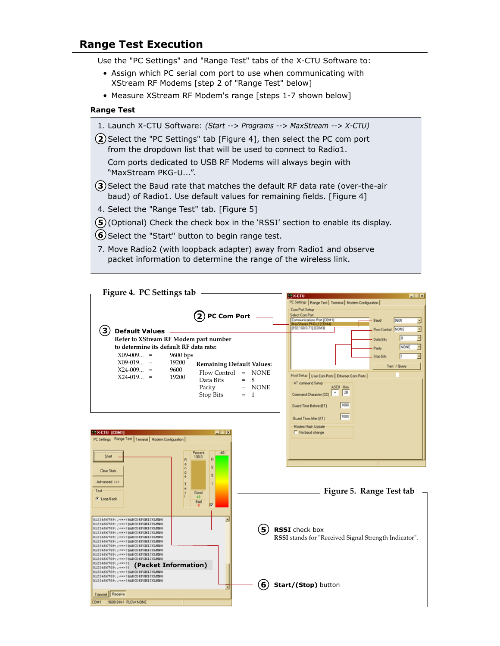# **Range Test Execution**

Use the "PC Settings" and "Range Test" tabs of the X-CTU Software to:

- Assign which PC serial com port to use when communicating with XStream RF Modems [step 2 of "Range Test" below]
- Measure XStream RF Modem's range [steps 1-7 shown below]

#### **Range Test**

- 1. Launch X-CTU Software: *(Start --> Programs --> MaxStream --> X-CTU)*
- **2**) Select the "PC Settings" tab [Figure 4], then select the PC com port from the dropdown list that will be used to connect to Radio1.

 Com ports dedicated to USB RF Modems will always begin with "MaxStream PKG-U...".

- **3**) Select the Baud rate that matches the default RF data rate (over-the-air baud) of Radio1. Use default values for remaining fields. [Figure 4]
- 4. Select the "Range Test" tab. [Figure 5]
- **5**) (Optional) Check the check box in the 'RSSI' section to enable its display.
- **6**) Select the "Start" button to begin range test.
- 7. Move Radio2 (with loopback adapter) away from Radio1 and observe packet information to determine the range of the wireless link.

| Figure 4. PC Settings tab                                                  |                                  |                                                                              |
|----------------------------------------------------------------------------|----------------------------------|------------------------------------------------------------------------------|
|                                                                            |                                  | 118-010<br>東日岡<br>PC Settings   Range Test   Terminal   Modern Configuration |
|                                                                            |                                  | Com Port Setup                                                               |
|                                                                            | ${\bf (2)}$ PC Com Port          | Select Com Part                                                              |
|                                                                            |                                  | Communications Port (COM1)<br>9600<br>Baud<br>MaxStream PKG-U (CDM4)         |
| $\mathbf{3}$<br><b>Default Values</b>                                      |                                  | [192.168.0.71] (COM3)<br>Flow Control NONE                                   |
| Refer to XStream RF Modem part number                                      |                                  | - Data Bits                                                                  |
| to determine its default RF data rate:                                     |                                  | NONE<br>Pady                                                                 |
| $X09-009 =$<br>9600 bps                                                    |                                  | Stop Bilts                                                                   |
| $X09-019 =$<br>19200                                                       | <b>Remaining Default Values:</b> |                                                                              |
| $X24-009 =$<br>9600                                                        | Flow Control = NONE              | Test / Query                                                                 |
| $X24-019 =$<br>19200                                                       | 8<br>Data Bits<br>$=$            | Host Setup   User Com Ports   Ethernet Com Ports                             |
|                                                                            | <b>NONE</b><br>Parity<br>$=$     | AT command Setup<br><b>ASCII Hex</b>                                         |
|                                                                            | Stop Bits<br>$= 1$               | 28<br>Command Character (CC)                                                 |
|                                                                            |                                  |                                                                              |
|                                                                            |                                  | 1000<br>Guard Time Belore (BT)                                               |
|                                                                            |                                  | 1000<br>Guard Time After (AT)                                                |
|                                                                            |                                  | Modem Flash Update                                                           |
| <b>EX-CTU (COM1)</b>                                                       | 同国区                              | No baud change                                                               |
| PC Settings Range Test   Terminal   Modern Configuration                   |                                  |                                                                              |
|                                                                            |                                  |                                                                              |
| Start                                                                      | Percent<br>40<br>100.0           |                                                                              |
|                                                                            | R<br>R<br>a                      |                                                                              |
| <b>Clear Stats</b>                                                         | s.<br>h<br>$\circ$               |                                                                              |
| Advanced >>>                                                               | Ś<br>e                           |                                                                              |
|                                                                            |                                  |                                                                              |
| Test                                                                       | Good<br>48                       | Figure 5. Range Test tab                                                     |
| G Loop Back                                                                | Bad<br>п                         |                                                                              |
|                                                                            |                                  |                                                                              |
| 0123456789; ; <=>?@ABCDEFGHIJKLMNO                                         | ᅬ                                |                                                                              |
| 0123456789: J <=> 7@ABCDEFGHIJKLMNO<br>0123456789; ; <=> ?@ADCDEFGHIJKLMNO |                                  |                                                                              |
| 0123456789: J <=> 7@ABCDEFGHIJKLMNO                                        | (5)                              | <b>RSSI</b> check box                                                        |
| 0123456709: ; <=> ?@ADCDEFGHIJHLMNO<br>0123456789; ; <=>?@ABCDEFGHIJKLMNO  |                                  | RSSI stands for "Received Signal Strength Indicator".                        |
| 0123456789: ;=<=>?@ADCDHFGHIJKLMNO<br>0123456789;; <=> ? @ABCD EFGHIJKLMNO |                                  |                                                                              |
| 0123456789: J <=> 7@ABCDEFGHIJKLMNO<br>0123456709; ; <=> ?@ADCDEFGHIJKLMNO |                                  |                                                                              |
| 0123456789; J-0+>78<br>(Packet Information)<br>0123456789: : <= > 78       |                                  |                                                                              |
| 0123456789; ; <=>?@ABCDEFGHIJKLMNO                                         |                                  |                                                                              |
| 0123456789: J <=> 7@ABCDEFGHIJKLMNO<br>0123456789;;<->?@ABCDEFGHIJKLMNO    |                                  |                                                                              |
|                                                                            | 6)<br>╗                          | Start/(Stop) button                                                          |
| Transmit Receive                                                           |                                  |                                                                              |
| 9600 8 N-1 FLOW NONE<br>COM1                                               |                                  |                                                                              |